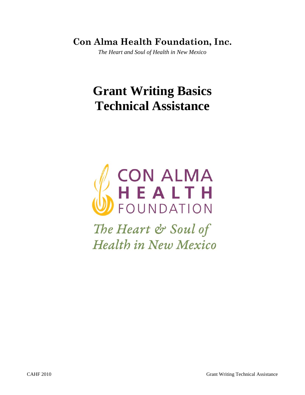**Con Alma Health Foundation, Inc.**

*The Heart and Soul of Health in New Mexico*

# **Grant Writing Basics Technical Assistance**



The Heart & Soul of **Health in New Mexico**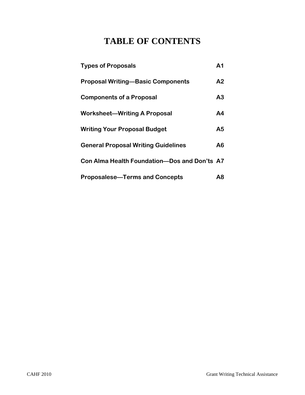## **TABLE OF CONTENTS**

| <b>Types of Proposals</b>                    | A <sub>1</sub> |
|----------------------------------------------|----------------|
| <b>Proposal Writing-Basic Components</b>     | A2             |
| <b>Components of a Proposal</b>              | A <sub>3</sub> |
| <b>Worksheet-Writing A Proposal</b>          | A <sub>4</sub> |
| <b>Writing Your Proposal Budget</b>          | A5             |
| <b>General Proposal Writing Guidelines</b>   | A6             |
| Con Alma Health Foundation-Dos and Don'ts A7 |                |
| <b>Proposalese-Terms and Concepts</b>        | Α8             |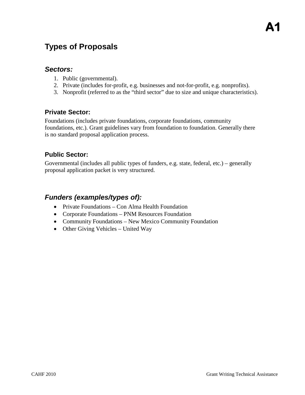## **Types of Proposals**

#### *Sectors:*

- 1. Public (governmental).
- 2. Private (includes for-profit, e.g. businesses and not-for-profit, e.g. nonprofits).
- 3. Nonprofit (referred to as the "third sector" due to size and unique characteristics).

#### **Private Sector:**

Foundations (includes private foundations, corporate foundations, community foundations, etc.). Grant guidelines vary from foundation to foundation. Generally there is no standard proposal application process.

#### **Public Sector:**

Governmental (includes all public types of funders, e.g. state, federal, etc.) – generally proposal application packet is very structured.

### *Funders (examples/types of):*

- Private Foundations Con Alma Health Foundation
- Corporate Foundations PNM Resources Foundation
- Community Foundations New Mexico Community Foundation
- Other Giving Vehicles United Way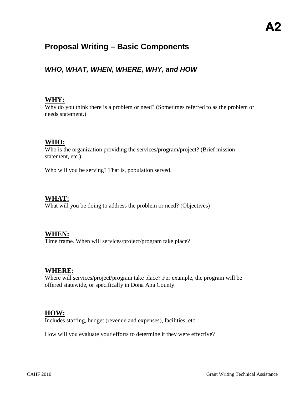## **Proposal Writing – Basic Components**

## *WHO, WHAT, WHEN, WHERE, WHY, and HOW*

#### **WHY:**

Why do you think there is a problem or need? (Sometimes referred to as the problem or needs statement.)

#### **WHO:**

Who is the organization providing the services/program/project? (Brief mission statement, etc.)

Who will you be serving? That is, population served.

#### **WHAT:**

What will you be doing to address the problem or need? (Objectives)

#### **WHEN:**

Time frame. When will services/project/program take place?

#### **WHERE:**

Where will services/project/program take place? For example, the program will be offered statewide, or specifically in Doña Ana County.

#### **HOW:**

Includes staffing, budget (revenue and expenses), facilities, etc.

How will you evaluate your efforts to determine it they were effective?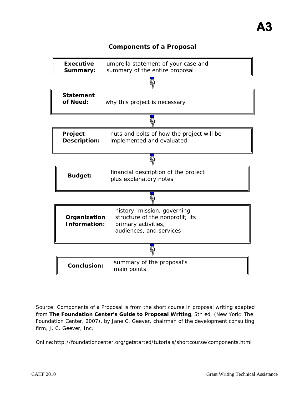#### **Components of a Proposal**



Source: Components of a Proposal is from the short course in proposal writing adapted from *[The Foundation Center's Guide to Proposal Writing](http://foundationcenter.org/marketplace/catalog/product_monograph.jhtml?id=prod10047)***,** 5th ed. (New York: The Foundation Center, 2007), by Jane C. Geever, chairman of the development consulting firm, J. C. Geever, Inc.

Online:http://foundationcenter.org/getstarted/tutorials/shortcourse/components.html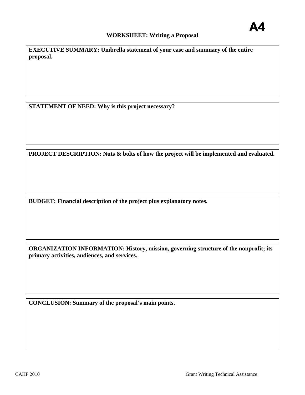#### **A4 WORKSHEET: Writing a Proposal**

**EXECUTIVE SUMMARY: Umbrella statement of your case and summary of the entire proposal.** 

**STATEMENT OF NEED: Why is this project necessary?**

**PROJECT DESCRIPTION: Nuts & bolts of how the project will be implemented and evaluated.** 

**BUDGET: Financial description of the project plus explanatory notes.** 

**ORGANIZATION INFORMATION: History, mission, governing structure of the nonprofit; its primary activities, audiences, and services.** 

**CONCLUSION: Summary of the proposal's main points.**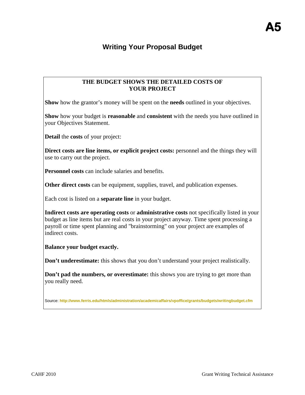## **Writing Your Proposal Budget**

#### **THE BUDGET SHOWS THE DETAILED COSTS OF YOUR PROJECT**

**Show** how the grantor's money will be spent on the **needs** outlined in your objectives.

**Show** how your budget is **reasonable** and **consistent** with the needs you have outlined in your Objectives Statement.

**Detail** the **costs** of your project:

**Direct costs are line items, or explicit project costs:** personnel and the things they will use to carry out the project.

**Personnel costs** can include salaries and benefits.

**Other direct costs** can be equipment, supplies, travel, and publication expenses.

Each cost is listed on a **separate line** in your budget.

**Indirect costs are operating costs** or **administrative costs** not specifically listed in your budget as line items but are real costs in your project anyway. Time spent processing a payroll or time spent planning and "brainstorming" on your project are examples of indirect costs.

**Balance your budget exactly.** 

**Don't underestimate:** this shows that you don't understand your project realistically.

**Don't pad the numbers, or overestimate:** this shows you are trying to get more than you really need.

Source: **<http://www.ferris.edu/htmls/administration/academicaffairs/vpoffice/grants/budgets/writingbudget.cfm>**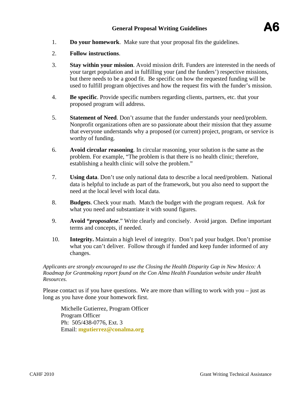- 1. **Do your homework**. Make sure that your proposal fits the guidelines.
- 2. **Follow instructions**.
- 3. **Stay within your mission**. Avoid mission drift. Funders are interested in the needs of your target population and in fulfilling your (and the funders') respective missions, but there needs to be a good fit. Be specific on how the requested funding will be used to fulfill program objectives and how the request fits with the funder's mission.
- 4. **Be specific**. Provide specific numbers regarding clients, partners, etc. that your proposed program will address.
- 5. **Statement of Need**. Don't assume that the funder understands your need/problem. Nonprofit organizations often are so passionate about their mission that they assume that everyone understands why a proposed (or current) project, program, or service is worthy of funding.
- 6. **Avoid circular reasoning**. In circular reasoning, your solution is the same as the problem. For example, "The problem is that there is no health clinic; therefore, establishing a health clinic will solve the problem."
- 7. **Using data**. Don't use only national data to describe a local need/problem. National data is helpful to include as part of the framework, but you also need to support the need at the local level with local data.
- 8. **Budgets**. Check your math. Match the budget with the program request. Ask for what you need and substantiate it with sound figures.
- 9. **Avoid "***proposalese*." Write clearly and concisely. Avoid jargon. Define important terms and concepts, if needed.
- 10. **Integrity.** Maintain a high level of integrity. Don't pad your budget. Don't promise what you can't deliver. Follow through if funded and keep funder informed of any changes.

*Applicants are strongly encouraged to use the Closing the Health Disparity Gap in New Mexico: A Roadmap for Grantmaking report found on the Con Alma Health Foundation website under Health Resources.*

Please contact us if you have questions. We are more than willing to work with you – just as long as you have done your homework first.

Michelle Gutierrez, Program Officer Program Officer Ph: 505/438-0776, Ext. 3 Email: **[mgutierrez@conalma.org](mailto:mgutierrez@conalma.org)**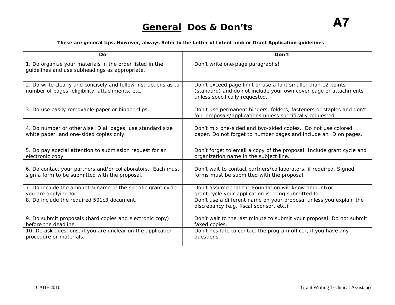#### **These are general tips. However, always Refer to the Letter of Intent and/or Grant Application guidelines**

| Do                                                                                                                 | Don't                                                                                                                                                              |
|--------------------------------------------------------------------------------------------------------------------|--------------------------------------------------------------------------------------------------------------------------------------------------------------------|
| 1. Do organize your materials in the order listed in the<br>guidelines and use subheadings as appropriate.         | Don't write one-page paragraphs!                                                                                                                                   |
|                                                                                                                    |                                                                                                                                                                    |
| 2. Do write clearly and concisely and follow instructions as to<br>number of pages, eligibility, attachments, etc. | Don't exceed page limit or use a font smaller than 12 points<br>(standard) and do not include your own cover page or attachments<br>unless specifically requested. |
|                                                                                                                    |                                                                                                                                                                    |
| 3. Do use easily removable paper or binder clips.                                                                  | Don't use permanent binders, folders, fasteners or staples and don't<br>fold proposals/applications unless specifically requested.                                 |
|                                                                                                                    |                                                                                                                                                                    |
| 4. Do number or otherwise ID all pages, use standard size<br>white paper, and one-sided copies only.               | Don't mix one-sided and two-sided copies. Do not use colored<br>paper. Do not forget to number pages and include an ID on pages.                                   |
|                                                                                                                    |                                                                                                                                                                    |
| 5. Do pay special attention to submission request for an<br>electronic copy.                                       | Don't forget to email a copy of the proposal. Include grant cycle and<br>organization name in the subject line.                                                    |
|                                                                                                                    |                                                                                                                                                                    |
| 6. Do contact your partners and/or collaborators. Each must<br>sign a form to be submitted with the proposal.      | Don't wait to contact partners/collaborators, if required. Signed<br>forms must be submitted with the proposal.                                                    |
|                                                                                                                    |                                                                                                                                                                    |
| 7. Do include the amount & name of the specific grant cycle<br>you are applying for.                               | Don't assume that the Foundation will know amount/or<br>grant cycle your application is being submitted for.                                                       |
| 8. Do include the required 501c3 document.                                                                         | Don't use a different name on your proposal unless you explain the<br>discrepancy (e.g. fiscal sponsor, etc.)                                                      |
| 9. Do submit proposals (hard copies and electronic copy)<br>before the deadline.                                   | Don't wait to the last minute to submit your proposal. Do not submit<br>faxed copies.                                                                              |
| 10. Do ask questions, if you are unclear on the application<br>procedure or materials.                             | Don't hesitate to contact the program officer, if you have any<br>questions.                                                                                       |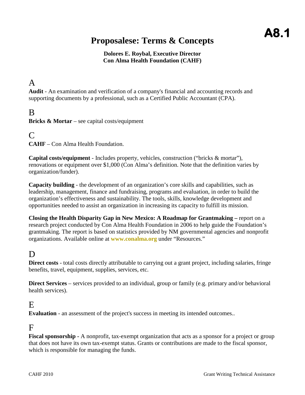# **A8.1 Proposalese: Terms & Concepts**

#### **Dolores E. Roybal, Executive Director Con Alma Health Foundation (CAHF)**

## A

**Audit** - An examination and verification of a company's financial and accounting records and supporting documents by a professional, such as a Certified Public Accountant (CPA).

## B

**Bricks & Mortar** – see capital costs/equipment

### $\Gamma$

**CAHF** – Con Alma Health Foundation.

**Capital costs/equipment** - Includes property, vehicles, construction ("bricks & mortar"), renovations or equipment over \$1,000 (Con Alma's definition. Note that the definition varies by organization/funder).

**Capacity building** - the development of an organization's core skills and capabilities, such as leadership, management, finance and fundraising, programs and evaluation, in order to build the organization's effectiveness and sustainability. The tools, skills, knowledge development and opportunities needed to assist an organization in increasing its capacity to fulfill its mission.

**Closing the Health Disparity Gap in New Mexico: A Roadmap for Grantmaking –** report on a research project conducted by Con Alma Health Foundation in 2006 to help guide the Foundation's grantmaking. The report is based on statistics provided by NM governmental agencies and nonprofit organizations. Available online at **[www.conalma.org](http://www.conalma.org/)** under "Resources."

## D.

**Direct costs** - total costs directly attributable to carrying out a grant project, including salaries, fringe benefits, travel, equipment, supplies, services, etc.

**Direct Services** – services provided to an individual, group or family (e.g. primary and/or behavioral health services).

#### E

**Evaluation** - an assessment of the project's success in meeting its intended outcomes..

## $\mathbf{F}$

**Fiscal sponsorship -** A nonprofit, tax-exempt organization that acts as a sponsor for a project or group that does not have its own tax-exempt status. Grants or contributions are made to the fiscal sponsor, which is responsible for managing the funds.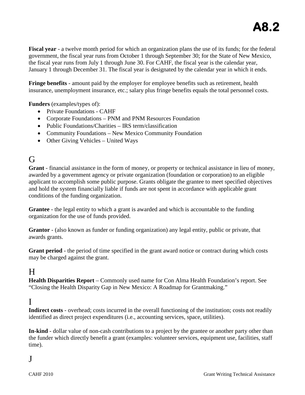**Fiscal year** - a twelve month period for which an organization plans the use of its funds; for the federal government, the fiscal year runs from October 1 through September 30; for the State of New Mexico, the fiscal year runs from July 1 through June 30. For CAHF, the fiscal year is the calendar year, January 1 through December 31. The fiscal year is designated by the calendar year in which it ends.

**Fringe benefits** - amount paid by the employer for employee benefits such as retirement, health insurance, unemployment insurance, etc.; salary plus fringe benefits equals the total personnel costs.

**Funders** (examples/types of):

- Private Foundations CAHF
- Corporate Foundations PNM and PNM Resources Foundation
- Public Foundations/Charities IRS term/classification
- Community Foundations New Mexico Community Foundation
- Other Giving Vehicles United Ways

## G

**Grant** - financial assistance in the form of money, or property or technical assistance in lieu of money, awarded by a government agency or private organization (foundation or corporation) to an eligible applicant to accomplish some public purpose. Grants obligate the grantee to meet specified objectives and hold the system financially liable if funds are not spent in accordance with applicable grant conditions of the funding organization.

**Grantee** - the legal entity to which a grant is awarded and which is accountable to the funding organization for the use of funds provided.

**Grantor** - (also known as funder or funding organization) any legal entity, public or private, that awards grants.

**Grant period** - the period of time specified in the grant award notice or contract during which costs may be charged against the grant.

## H

**Health Disparities Report** – Commonly used name for Con Alma Health Foundation's report. See "Closing the Health Disparity Gap in New Mexico: A Roadmap for Grantmaking."

## I

**Indirect costs** - overhead; costs incurred in the overall functioning of the institution; costs not readily identified as direct project expenditures (i.e., accounting services, space, utilities).

**In-kind** - dollar value of non-cash contributions to a project by the grantee or another party other than the funder which directly benefit a grant (examples: volunteer services, equipment use, facilities, staff time).

## J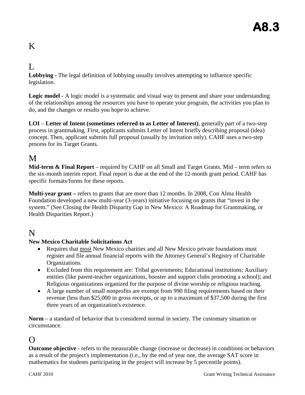## K

#### $\mathbf{L}$

**Lobbying -** The legal definition of lobbying usually involves attempting to influence specific legislation.

**Logic model -** A logic model is a systematic and visual way to present and share your understanding of the relationships among the resources you have to operate your program, the activities you plan to do, and the changes or results you hope to achieve.

**LOI** – **Letter of Intent (sometimes referred to as Letter of Interest)**, generally part of a two-step process in grantmaking. First, applicants submits Letter of Intent briefly describing proposal (idea) concept. Then, applicant submits full proposal (usually by invitation only). CAHF uses a two-step process for its Target Grants.

## M

**Mid-term & Final Report** – required by CAHF on all Small and Target Grants. Mid – term refers to the six-month interim report. Final report is due at the end of the 12-month grant period. CAHF has specific formats/forms for these reports.

**Multi-year grant –** refers to grants that are more than 12 months. In 2008, Con Alma Health Foundation developed a new multi-year (3-years) initiative focusing on grants that "invest in the system." (See Closing the Health Disparity Gap in New Mexico: A Roadmap for Grantmaking, or Health Disparities Report.)

## N

#### **New Mexico Charitable Solicitations Act**

- Requires that most New Mexico charities and all New Mexico private foundations must register and file annual financial reports with the Attorney General's Registry of Charitable Organizations.
- Excluded from this requirement are: Tribal governments; Educational institutions; Auxiliary entities (like parent-teacher organizations, booster and support clubs promoting a school); and Religious organizations organized for the purpose of divine worship or religious teaching.
- A large number of small nonprofits are exempt from 990 filing requirements based on their revenue (less than \$25,000 in gross receipts, or up to a maximum of \$37,500 during the first three years of an organization's existence.

**Norm** – a standard of behavior that is considered normal in society. The customary situation or circumstance.

## $\Omega$

**Outcome objective** - refers to the measurable change (increase or decrease) in conditions or behaviors as a result of the project's implementation (i.e., by the end of year one, the average SAT score in mathematics for students participating in the project will increase by 5 percentile points).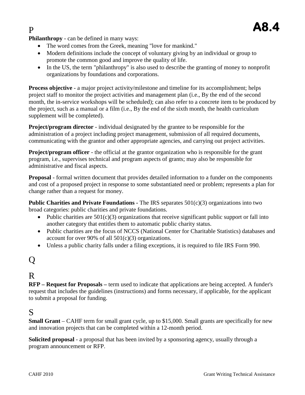**Philanthropy** - can be defined in many ways:

- The word comes from the Greek, meaning "love for mankind."
- Modern definitions include the concept of voluntary giving by an individual or group to promote the common good and improve the quality of life.
- In the US, the term "philanthropy" is also used to describe the granting of money to nonprofit organizations by foundations and corporations.

**Process objective** - a major project activity/milestone and timeline for its accomplishment; helps project staff to monitor the project activities and management plan (i.e., By the end of the second month, the in-service workshops will be scheduled); can also refer to a concrete item to be produced by the project, such as a manual or a film (i.e., By the end of the sixth month, the health curriculum supplement will be completed).

**Project/program director** - individual designated by the grantee to be responsible for the administration of a project including project management, submission of all required documents, communicating with the grantor and other appropriate agencies, and carrying out project activities.

**Project/program officer** - the official at the grantor organization who is responsible for the grant program, i.e., supervises technical and program aspects of grants; may also be responsible for administrative and fiscal aspects.

**Proposal** - formal written document that provides detailed information to a funder on the components and cost of a proposed project in response to some substantiated need or problem; represents a plan for change rather than a request for money.

**Public Charities and Private Foundations -** The IRS separates 501(c)(3) organizations into two broad categories: public charities and private foundations.

- Public charities are  $501(c)(3)$  organizations that receive significant public support or fall into another category that entitles them to automatic public charity status.
- Public charities are the focus of NCCS (National Center for Charitable Statistics) databases and account for over 90% of all  $501(c)(3)$  organizations.
- Unless a public charity falls under a filing exceptions, it is required to file IRS Form 990.

## Q

## R

**RFP – Request for Proposals –** term used to indicate that applications are being accepted. A funder's request that includes the guidelines (instructions) and forms necessary, if applicable, for the applicant to submit a proposal for funding.

## S

**Small Grant** – CAHF term for small grant cycle, up to \$15,000. Small grants are specifically for new and innovation projects that can be completed within a 12-month period.

**Solicited proposal** - a proposal that has been invited by a sponsoring agency, usually through a program announcement or RFP.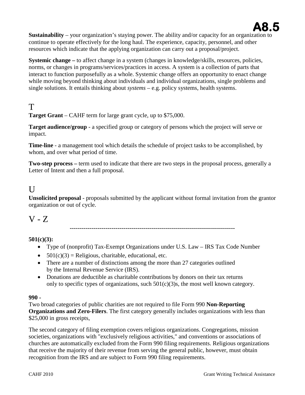

**Sustainability** – your organization's staying power. The ability and/or capacity for an organization to continue to operate effectively for the long haul. The experience, capacity, personnel, and other resources which indicate that the applying organization can carry out a proposal/project.

**Systemic change** – to affect change in a system (changes in knowledge/skills, resources, policies, norms, or changes in programs/services/practices in access. A system is a collection of parts that interact to function purposefully as a whole. Systemic change offers an opportunity to enact change while moving beyond thinking about individuals and individual organizations, single problems and single solutions. It entails thinking about *systems* – e.g. policy systems, health systems.

## T

**Target Grant** – CAHF term for large grant cycle, up to \$75,000.

**Target audience/group** - a specified group or category of persons which the project will serve or impact.

**Time-line** - a management tool which details the schedule of project tasks to be accomplished, by whom, and over what period of time.

**Two-step process –** term used to indicate that there are two steps in the proposal process, generally a Letter of Intent and then a full proposal.

## $\mathbf{U}$

**Unsolicited proposal** - proposals submitted by the applicant without formal invitation from the grantor organization or out of cycle.

 $V - Z$ 

**-----------------------------------------------------------------------------------**

#### **501(c)(3):**

- Type of (nonprofit) Tax-Exempt Organizations under U.S. Law IRS Tax Code Number
- $501(c)(3)$  = Religious, charitable, educational, etc.
- There are a number of distinctions among the more than 27 categories outlined by the Internal Revenue Service (IRS).
- Donations are deductible as charitable contributions by donors on their tax returns only to specific types of organizations, such  $501(c)(3)$ s, the most well known category.

#### **990 -**

Two broad categories of public charities are not required to file Form 990 **Non-Reporting Organizations and Zero-Filers**. The first category generally includes organizations with less than \$25,000 in gross receipts,

The second category of filing exemption covers religious organizations. Congregations, mission societies, organizations with "exclusively religious activities," and conventions or associations of churches are automatically excluded from the Form 990 filing requirements. Religious organizations that receive the majority of their revenue from serving the general public, however, must obtain recognition from the IRS and are subject to Form 990 filing requirements.